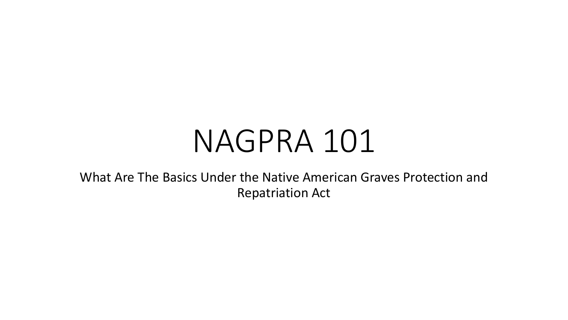# NAGPRA 101

What Are The Basics Under the Native American Graves Protection and Repatriation Act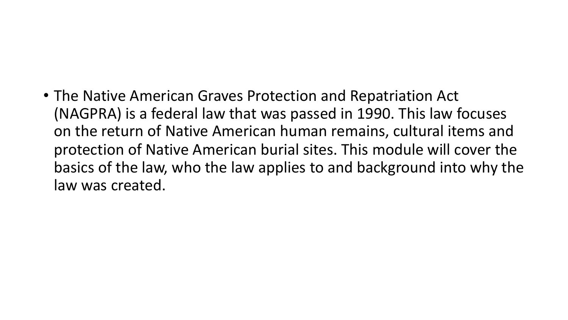#### • The Native American Graves Protection and Repatriation Act (NAGPRA) is a federal law that was passed in 1990. This law focuses on the return of Native American human remains, cultural items and protection of Native American burial sites. This module will cover the basics of the law, who the law applies to and background into why the law was created.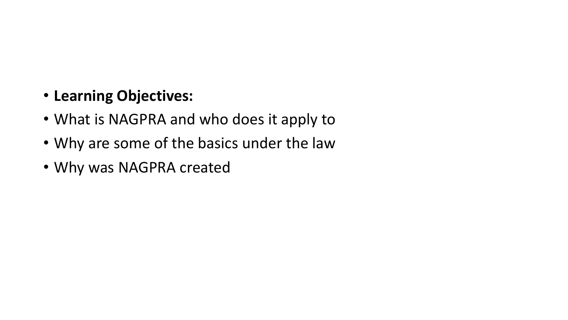#### • **Learning Objectives:**

- What is NAGPRA and who does it apply to
- Why are some of the basics under the law
- Why was NAGPRA created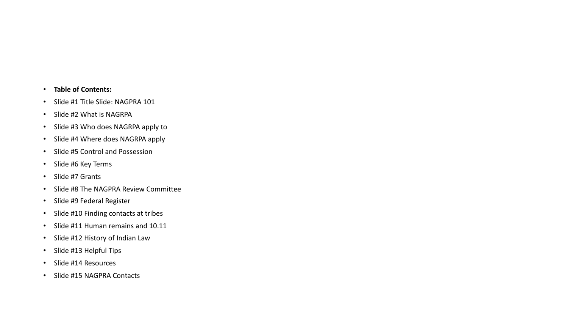#### • **Table of Contents:**

- Slide #1 Title Slide: NAGPRA 101
- Slide #2 What is NAGRPA
- Slide #3 Who does NAGRPA apply to
- Slide #4 Where does NAGRPA apply
- Slide #5 Control and Possession
- Slide #6 Key Terms
- Slide #7 Grants
- Slide #8 The NAGPRA Review Committee
- Slide #9 Federal Register
- Slide #10 Finding contacts at tribes
- Slide #11 Human remains and 10.11
- Slide #12 History of Indian Law
- Slide #13 Helpful Tips
- Slide #14 Resources
- Slide #15 NAGPRA Contacts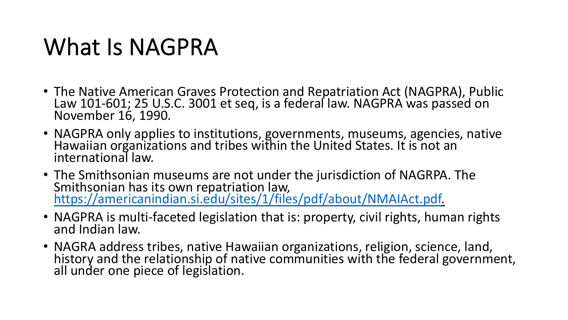#### What Is NAGPRA

- The Native American Graves Protection and Repatriation Act (NAGPRA), Public Law 101-601; 25 U.S.C. 3001 et seq, is a federal law. NAGPRA was passed on<br>November 16, 1990.
- NAGPRA only applies to institutions, governments, museums, agencies, native Hawaiian organizations and tribes within the United States. It is not an international law.
- The Smithsonian museums are not under the jurisdiction of NAGRPA. The Smithsonian has its own repatriation law, [https://americanindian.si.edu/sites/1/files/pdf/about/NMAIAct.pdf.](https://americanindian.si.edu/sites/1/files/pdf/about/NMAIAct.pdf)
- NAGPRA is multi-faceted legislation that is: property, civil rights, human rights and Indian law.
- NAGRA address tribes, native Hawaiian organizations, religion, science, land, history and the relationship of native communities with the federal government, all under one piece of legislation.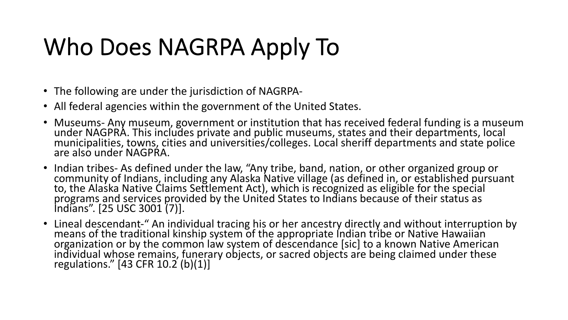## Who Does NAGRPA Apply To

- The following are under the jurisdiction of NAGRPA-
- All federal agencies within the government of the United States.
- Museums- Any museum, government or institution that has received federal funding is a museum<br>under NAGPRA. This includes private and public museums, states and their departments, local municipalities, towns, cities and universities/colleges. Local sheriff departments and state police are also under NAGPRA.
- Indian tribes- As defined under the law, "Any tribe, band, nation, or other organized group or<br>community of Indians, including any Alaska Native village (as defined in, or established pursuant to, the Alaska Native Claims Settlement Act), which is recognized as eligible for the special programs and services provided by the United States to Indians because of their status as Indians". [25 USC 3001 (7)].
- Lineal descendant-" An individual tracing his or her ancestry directly and without interruption by means of the traditional kinship system of the appropriate Indian tribe or Native Hawaiian organization or by the common law system of descendance [sic] to a known Native American individual whose remains, funerary objects, or sacred objects are being claimed under these regulations." [43 CFR 10.2 (b)(1)]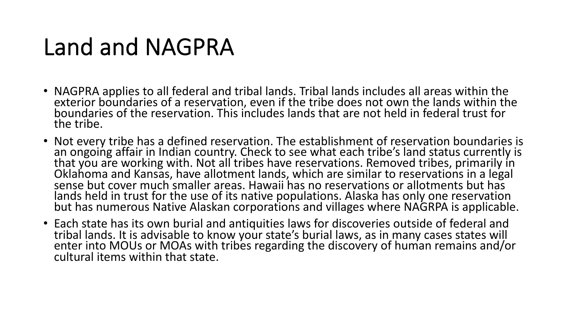#### Land and NAGPRA

- NAGPRA applies to all federal and tribal lands. Tribal lands includes all areas within the exterior boundaries of a reservation, even if the tribe does not own the lands within the boundaries of the reservation. This includes lands that are not held in federal trust for the tribe.
- Not every tribe has a defined reservation. The establishment of reservation boundaries is an ongoing affair in Indian country. Check to see what each tribe's land status currently is that you are working with. Not all tribes have reservations. Removed tribes, primarily in Oklahoma and Kansas, have allotment lands, which are similar to reservations in a legal sense but cover much smaller areas. Hawaii has no reservations or allotments but has lands held in trust for the use of its native populations. Alaska has only one reservation but has numerous Native Alaskan corporations and villages where NAGRPA is applicable.
- Each state has its own burial and antiquities laws for discoveries outside of federal and tribal lands. It is advisable to know your state's burial laws, as in many cases states will enter into MOUs or MOAs with tribes regarding the discovery of human remains and/or cultural items within that state.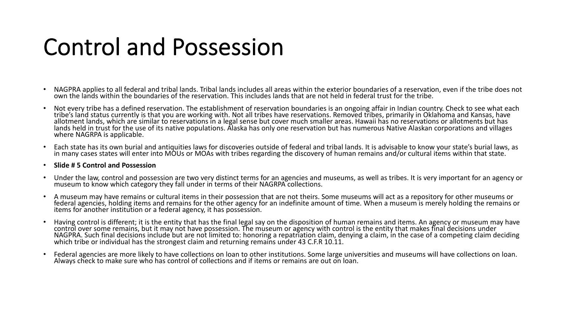#### Control and Possession

- NAGPRA applies to all federal and tribal lands. Tribal lands includes all areas within the exterior boundaries of a reservation, even if the tribe does not own the lands within the boundaries of the reservation. This includes lands that are not held in federal trust for the tribe.
- Not every tribe has a defined reservation. The establishment of reservation boundaries is an ongoing affair in Indian country. Check to see what each tribe's land status currently is that you are working with. Not all tribes have reservations. Removed tribes, primarily in Oklahoma and Kansas, have allotment lands, which are similar to reservations in a legal sense but cover much smaller areas. Hawaii has no reservations or allotments but has lands held in trust for the use of its native populations. Alaska has only one reservation but has numerous Native Alaskan corporations and villages where NAGRPA is applicable.
- Each state has its own burial and antiquities laws for discoveries outside of federal and tribal lands. It is advisable to know your state's burial laws, as in many cases states will enter into MOUs or MOAs with tribes reg

#### • **Slide # 5 Control and Possession**

- Under the law, control and possession are two very distinct terms for an agencies and museums, as well as tribes. It is very important for an agency or museum to know which category they fall under in terms of their NAGR
- A museum may have remains or cultural items in their possession that are not theirs. Some museums will act as a repository for other museums or federal agenciés, holding items and remains for the other agency for an indefinite amount of time. When a museum is merely holding the remains or items for another institution or a federal agency, it has possession.
- Having control is different; it is the entity that has the final legal say on the disposition of human remains and items. An agency or museum may have control over some remains, but it may not have possession. The museum o NAGPRA. Such final decisions include but are not limited to: honoring a repatriation claim, denying a claim, in the case of a competing claim deciding which tribe or individual has the strongest claim and returning remains
- Federal agencies are more likely to have collections on loan to other institutions. Some large universities and museums will have collections on loan. Always check to make sure who has control of collections and if items or remains are out on loan.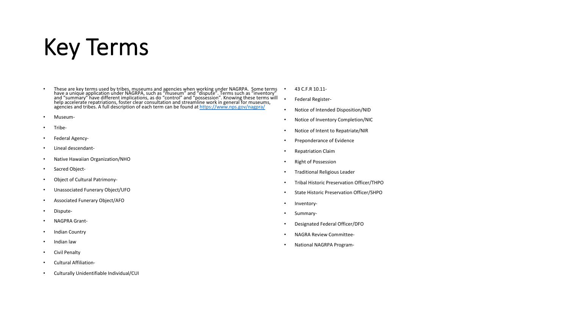#### Key Terms

- These are key terms used by tribes, museums and agencies when working under NAGRPA. Some terms have a unique application under NAGRPA, such as "museum" and "dispute". Terms such as "inventory" and "and" the authory and "
- Museum-
- Tribe-
- Federal Agency-
- Lineal descendant-
- Native Hawaiian Organization/NHO
- Sacred Object-
- Object of Cultural Patrimony-
- Unassociated Funerary Object/UFO
- Associated Funerary Object/AFO
- Dispute-
- NAGPRA Grant-
- Indian Country
- Indian law
- Civil Penalty
- Cultural Affiliation-
- Culturally Unidentifiable Individual/CUI
- 43 C.F.R 10.11-
- Federal Register-
- Notice of Intended Disposition/NID
- Notice of Inventory Completion/NIC
- Notice of Intent to Repatriate/NIR
- Preponderance of Evidence
- Repatriation Claim
- Right of Possession
- Traditional Religious Leader
- Tribal Historic Preservation Officer/THPO
- State Historic Preservation Officer/SHPO
- Inventory-
- Summary-
- Designated Federal Officer/DFO
- NAGRA Review Committee-
- National NAGRPA Program-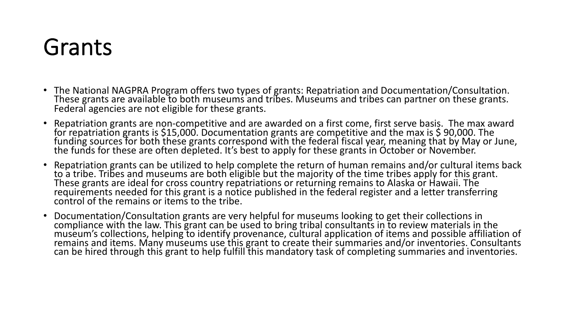#### Grants

- The National NAGPRA Program offers two types of grants: Repatriation and Documentation/Consultation. These grants are available to both museums and tribes. Museums and tribes can partner on these grants. Federal agencies are not eligible for these grants.
- Repatriation grants are non-competitive and are awarded on a first come, first serve basis. The max award for repatriation grants is \$15,000. Documentation grants are competitive and the max is \$ 90,000. The funding sources for both these grants correspond with the federal fiscal year, meaning that by May or June, the funds for these are often depleted. It's best to apply for these grants in October or November.
- Repatriation grants can be utilized to help complete the return of human remains and/or cultural items back to a tribe. Tribes and museums are both eligible but the majority of the time tribes apply for this grant. These grants are ideal for cross country repatriations or returning remains to Alaska or Hawaii. The requirements needed for this grant is a notice published in the federal register and a letter transferring control of the remains or items to the tribe.
- Documentation/Consultation grants are very helpful for museums looking to get their collections in compliance with the law. This grant can be used to bring tribal consultants in to review materials in the museum's collections, helping to identify provenance, cultural application of items and possible affiliation of remains and items. Many museums use this grant to create their summaries and/or inventories. Consultants can be hired through this grant to help fulfill this mandatory task of completing summaries and inventories.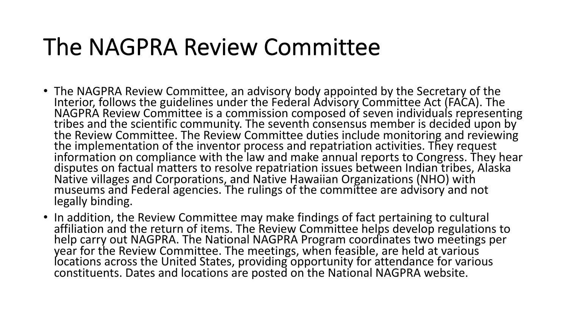#### The NAGPRA Review Committee

- The NAGPRA Review Committee, an advisory body appointed by the Secretary of the Interior, follows the guidelines under the Federal Advisory Committee Act (FACA). The NAGPRA Review Committee is a commission composed of seven individuals representing tribes and the scientific community. The seventh consensus member is decided upon by the Review Committee. The Review Committee duties include monitoring and reviewing the implementation of the inventor process and repatriation activities. They request information on compliance with the law and make annual reports to Congress. They hear disputes on factual matters to resolve repatriation issues between Indian tribes, Alaska Native villages and Corporations, and Native Hawaiian Organizations (NHO) with museums and Federal agencies. The rulings of the committee are advisory and not legally binding.
- In addition, the Review Committee may make findings of fact pertaining to cultural affiliation and the return of items. The Review Committee helps develop regulations to help carry out NAGPRA. The National NAGPRA Program coordinates two meetings per year for the Review Committee. The meetings, when feasible, are held at various locations across the United States, providing opportunity for attendance for various constituents. Dates and locations are posted on the National NAGPRA website.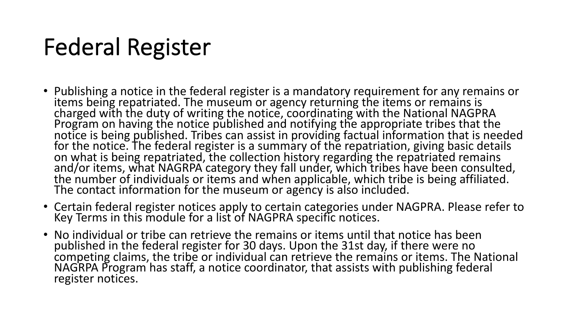## Federal Register

- Publishing a notice in the federal register is a mandatory requirement for any remains or items being repatriated. The museum or agency returning the items or remains is charged with the duty of writing the notice, coordinating with the National NAGPRA Program on having the notice published and notifying the appropriate tribes that the notice is being published. Tribes can assist in providing factual information that is needed for the notice. The federal register is a summary of the repatriation, giving basic details on what is being repatriated, the collection history regarding the repatriated remains and/or items, what NAGRPA category they fall under, which tribes have been consulted, the number of individuals or items and when applicable, which tribe is being affiliated. The contact information for the museum or agency is also included.
- Certain federal register notices apply to certain categories under NAGPRA. Please refer to Key Terms in this module for a list of NAGPRA specific notices.
- No individual or tribe can retrieve the remains or items until that notice has been published in the federal register for 30 days. Upon the 31st day, if there were no competing claims, the tribe or individual can retrieve the remains or items. The National NAGRPA Program has staff, a notice coordinator, that assists with publishing federal register notices.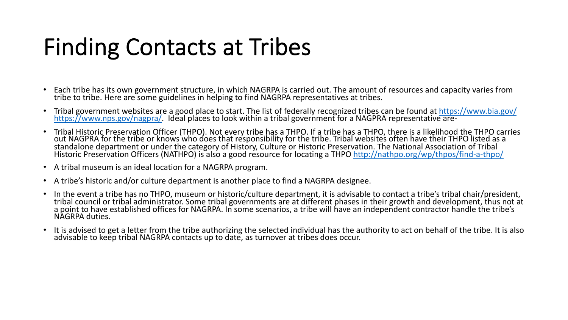### Finding Contacts at Tribes

- Each tribe has its own government structure, in which NAGRPA is carried out. The amount of resources and capacity varies from tribe to tribe. Here are some guidelines in helping to find NAGRPA representatives at tribes.
- Tribal government websites are a good place to start. The list of federally recognized tribes can be found at <https://www.bia.gov/><br><https://www.nps.gov/nagpra/>. Ideal places to look within a tribal government for a NAGPRA
- Tribal Historic Preservation Officer (THPO). Not every tribe has a THPO. If a tribe has a THPO, there is a likelihood the THPO carries out NAGPRA for the tribe or knows who does that responsibility for the tribe. Tribal websites often have their THPO listed as a standalone department or under the category of History, Culture or Historic Preservation. The National Association of Tribal Historic Preservation Officers (NATHPO) is also a good resource for locating a THPO<http://nathpo.org/wp/thpos/find-a-thpo/>
- A tribal museum is an ideal location for a NAGRPA program.
- A tribe's historic and/or culture department is another place to find a NAGRPA designee.
- In the event a tribe has no THPO, museum or historic/culture department, it is advisable to contact a tribe's tribal chair/president, tribal council or tribal administrator. Some tribal governments are at different phases in their growth and development, thus not at a point to have established offices for NAGRPA. In some scenarios, a tribe will have an independent contractor handle the tribe's NAGRPA duties.
- It is advised to get a letter from the tribe authorizing the selected individual has the authority to act on behalf of the tribe. It is also advisable to keep tribal NAGRPA contacts up to date, as turnover at tribes does occur.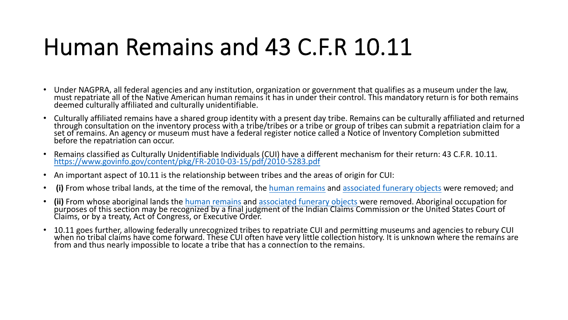#### Human Remains and 43 C.F.R 10.11

- Under NAGPRA, all federal agencies and any institution, organization or government that qualifies as a museum under the law, must repatriate all of the Native American human remains it has in under their control. This mandatory return is for both remains deemed culturally affiliated and culturally unidentifiable.
- Culturally affiliated remains have a shared group identity with a present day tribe. Remains can be culturally affiliated and returned through consultation on the inventory process with a tribe/tribes or a tribe or group of tribes can submit a repatriation claim for a set of remains. An agency or museum must have a federal register notice called a Notice of Inventory Completion submitted before the repatriation can occur.
- Remains classified as Culturally Unidentifiable Individuals (CUI) have a different mechanism for their return: 43 C.F.R. 10.11. <https://www.govinfo.gov/content/pkg/FR-2010-03-15/pdf/2010-5283.pdf>
- An important aspect of 10.11 is the relationship between tribes and the areas of origin for CUI:
- **(i)** From whose tribal lands, at the time of the removal, the [human remains](https://www.law.cornell.edu/definitions/index.php?width=840&height=800&iframe=true&def_id=58c838a12f57a353e51698b3387e2a8a&term_occur=6&term_src=Title:43:Subtitle:A:Part:10:Subpart:C:10.11) and [associated funerary objects](https://www.law.cornell.edu/definitions/index.php?width=840&height=800&iframe=true&def_id=8062cfe44dfdbc367cccfcfeffc465df&term_occur=3&term_src=Title:43:Subtitle:A:Part:10:Subpart:C:10.11) were removed; and
- **(ii)** From whose aboriginal lands the [human remains](https://www.law.cornell.edu/definitions/index.php?width=840&height=800&iframe=true&def_id=58c838a12f57a353e51698b3387e2a8a&term_occur=7&term_src=Title:43:Subtitle:A:Part:10:Subpart:C:10.11) and [associated funerary objects](https://www.law.cornell.edu/definitions/index.php?width=840&height=800&iframe=true&def_id=8062cfe44dfdbc367cccfcfeffc465df&term_occur=4&term_src=Title:43:Subtitle:A:Part:10:Subpart:C:10.11) were removed. Aboriginal occupation for purposes of this section may be recognized by a final judgment of the Indian Claims Commission or the United States Court of Claims, or by a treaty, Act of Congress, or Executive Order.
- 10.11 goes further, allowing federally unrecognized tribes to repatriate CUI and permitting museums and agencies to rebury CUI when no tribal claims have come forward. These CUI often have very little collection history. It is unknown where the remains are from and thus nearly impossible to locate a tribe that has a connection to the remains.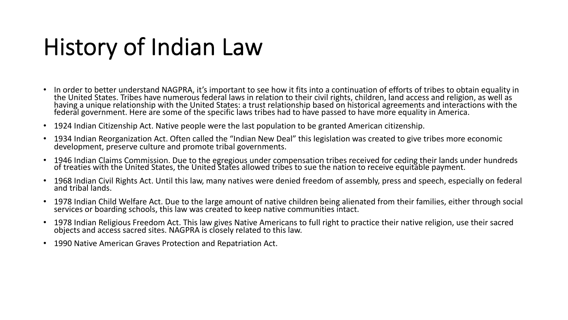### History of Indian Law

- In order to better understand NAGPRA, it's important to see how it fits into a continuation of efforts of tribes to obtain equality in the United States. Tribes have numerous federal laws in relation to their civil rights, children, land access and religion, as well as having a unique relationship with the United States: a trust relationship based on historical agreements and interactions with the federal government. Here are some of the specific laws tribes had to have passed to have more equality in America.
- 1924 Indian Citizenship Act. Native people were the last population to be granted American citizenship.
- 1934 Indian Reorganization Act. Often called the "Indian New Deal" this legislation was created to give tribes more economic development, preserve culture and promote tribal governments.
- 1946 Indian Claims Commission. Due to the egregious under compensation tribes received for ceding their lands under hundreds of treaties with the United States, the United States allowed tribes to sue the nation to receive equitable payment.
- 1968 Indian Civil Rights Act. Until this law, many natives were denied freedom of assembly, press and speech, especially on federal and tribal lands.
- 1978 Indian Child Welfare Act. Due to the large amount of native children being alienated from their families, either through social services or boarding schools, this law was created to keep native communities intact.
- 1978 Indian Religious Freedom Act. This law gives Native Americans to full right to practice their native religion, use their sacred objects and access sacred sites. NAGPRA is closely related to this law.
- 1990 Native American Graves Protection and Repatriation Act.